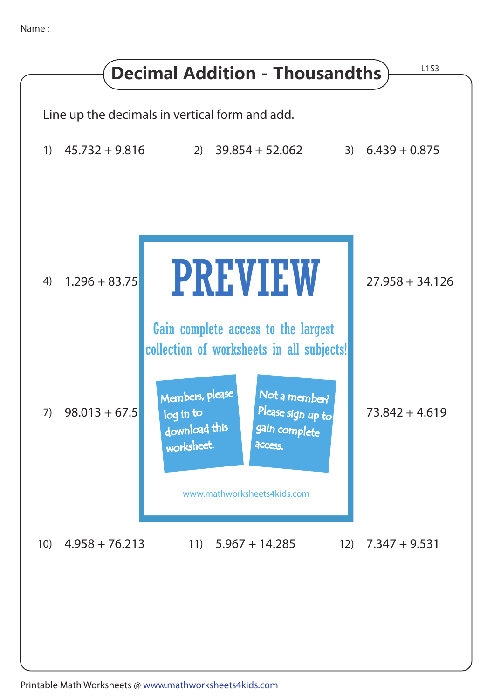